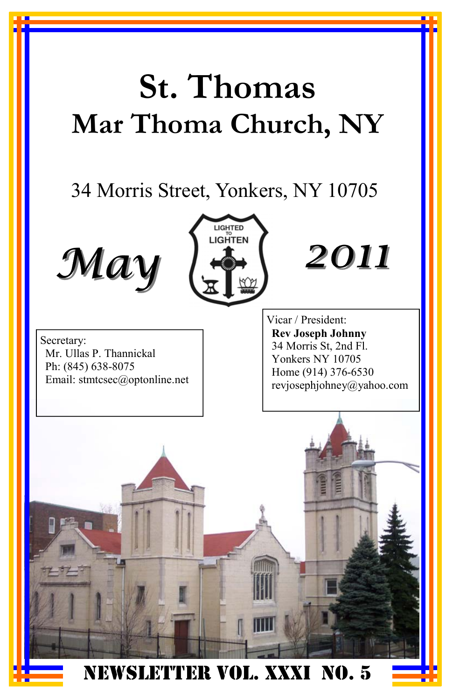# **St. Thomas Mar Thoma Church, NY**

# 34 Morris Street, Yonkers, NY 10705





*2011*

Secretary: Mr. Ullas P. Thannickal Ph: (845) 638-8075 Email: stmtcsec@optonline.net Vicar / President: **Rev Joseph Johnny**  34 Morris St, 2nd Fl. Yonkers NY 10705 Home (914) 376-6530 revjosephjohney@yahoo.com

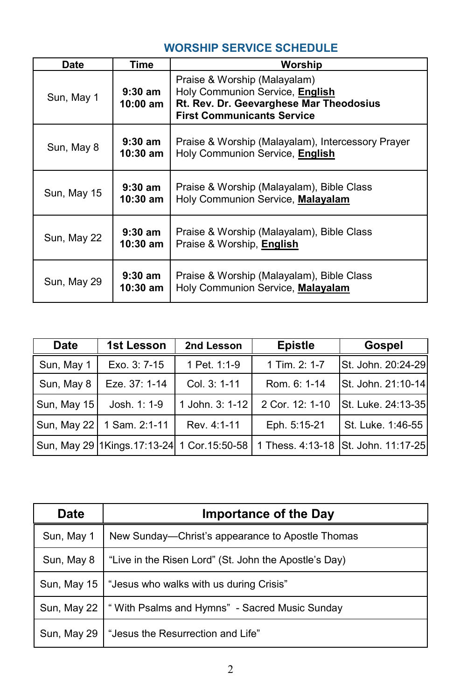#### **WORSHIP SERVICE SCHEDULE**

| Date        | Time                  | Worship                                                                                                                                         |
|-------------|-----------------------|-------------------------------------------------------------------------------------------------------------------------------------------------|
| Sun, May 1  | $9:30$ am<br>10:00 am | Praise & Worship (Malayalam)<br>Holy Communion Service, English<br>Rt. Rev. Dr. Geevarghese Mar Theodosius<br><b>First Communicants Service</b> |
| Sun, May 8  | $9:30$ am<br>10:30 am | Praise & Worship (Malayalam), Intercessory Prayer<br>Holy Communion Service, English                                                            |
| Sun, May 15 | $9:30$ am<br>10:30 am | Praise & Worship (Malayalam), Bible Class<br>Holy Communion Service, Malayalam                                                                  |
| Sun, May 22 | $9:30$ am<br>10:30 am | Praise & Worship (Malayalam), Bible Class<br>Praise & Worship, English                                                                          |
| Sun, May 29 | $9:30$ am<br>10:30 am | Praise & Worship (Malayalam), Bible Class<br>Holy Communion Service, Malayalam                                                                  |

| <b>Date</b> | 1st Lesson                                       | 2nd Lesson      | <b>Epistle</b>   | Gospel             |
|-------------|--------------------------------------------------|-----------------|------------------|--------------------|
| Sun, May 1  | Exo. 3: 7-15                                     | 1 Pet. 1:1-9    | 1 Tim. 2: 1-7    | St. John. 20:24-29 |
| Sun, May 8  | Eze. 37: 1-14                                    | Col. 3: 1-11    | Rom. 6: 1-14     | St. John. 21:10-14 |
| Sun, May 15 | Josh. 1: 1-9                                     | 1 John. 3: 1-12 | 2 Cor. 12: 1-10  | St. Luke. 24:13-35 |
|             | Sun, May 22   1 Sam. 2:1-11                      | Rev. 4:1-11     | Eph. 5:15-21     | St. Luke. 1:46-55  |
|             | Sun, May 29   1Kings. 17:13-24   1 Cor. 15:50-58 |                 | 1 Thess, 4:13-18 | St. John. 11:17-25 |

| <b>Date</b> | <b>Importance of the Day</b>                          |
|-------------|-------------------------------------------------------|
| Sun, May 1  | New Sunday—Christ's appearance to Apostle Thomas      |
| Sun, May 8  | "Live in the Risen Lord" (St. John the Apostle's Day) |
| Sun, May 15 | "Jesus who walks with us during Crisis"               |
| Sun, May 22 | "With Psalms and Hymns" - Sacred Music Sunday         |
| Sun, May 29 | "Jesus the Resurrection and Life"                     |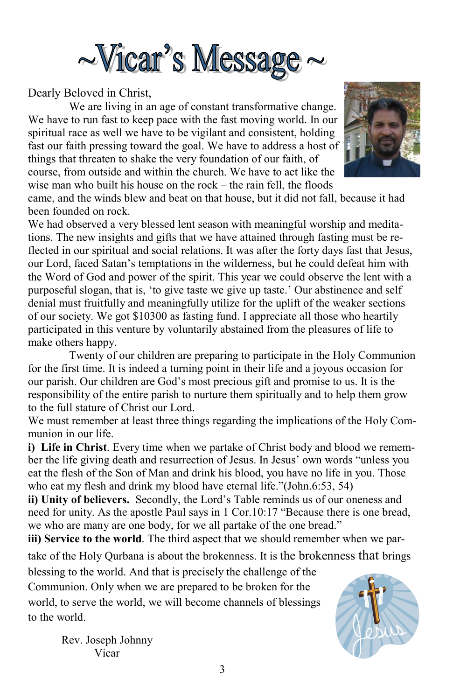

Dearly Beloved in Christ,

 We are living in an age of constant transformative change. We have to run fast to keep pace with the fast moving world. In our spiritual race as well we have to be vigilant and consistent, holding fast our faith pressing toward the goal. We have to address a host of things that threaten to shake the very foundation of our faith, of course, from outside and within the church. We have to act like the wise man who built his house on the rock – the rain fell, the floods



came, and the winds blew and beat on that house, but it did not fall, because it had been founded on rock.

We had observed a very blessed lent season with meaningful worship and meditations. The new insights and gifts that we have attained through fasting must be reflected in our spiritual and social relations. It was after the forty days fast that Jesus, our Lord, faced Satan's temptations in the wilderness, but he could defeat him with the Word of God and power of the spirit. This year we could observe the lent with a purposeful slogan, that is, 'to give taste we give up taste.' Our abstinence and self denial must fruitfully and meaningfully utilize for the uplift of the weaker sections of our society. We got \$10300 as fasting fund. I appreciate all those who heartily participated in this venture by voluntarily abstained from the pleasures of life to make others happy.

 Twenty of our children are preparing to participate in the Holy Communion for the first time. It is indeed a turning point in their life and a joyous occasion for our parish. Our children are God's most precious gift and promise to us. It is the responsibility of the entire parish to nurture them spiritually and to help them grow to the full stature of Christ our Lord.

We must remember at least three things regarding the implications of the Holy Communion in our life.

**i) Life in Christ**. Every time when we partake of Christ body and blood we remember the life giving death and resurrection of Jesus. In Jesus' own words "unless you eat the flesh of the Son of Man and drink his blood, you have no life in you. Those who eat my flesh and drink my blood have eternal life."(John.6:53, 54)

**ii) Unity of believers.** Secondly, the Lord's Table reminds us of our oneness and need for unity. As the apostle Paul says in 1 Cor.10:17 "Because there is one bread, we who are many are one body, for we all partake of the one bread."

**iii) Service to the world**. The third aspect that we should remember when we par-

take of the Holy Qurbana is about the brokenness. It is the brokenness that brings

blessing to the world. And that is precisely the challenge of the Communion. Only when we are prepared to be broken for the world, to serve the world, we will become channels of blessings to the world.

> Rev. Joseph Johnny Vicar

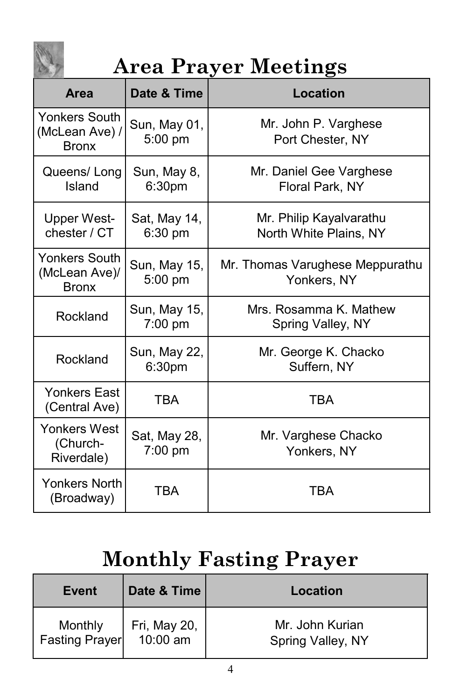

# **Area Prayer Meetings**

| Area                                                   | Date & Time               | <b>Location</b>                                   |
|--------------------------------------------------------|---------------------------|---------------------------------------------------|
| <b>Yonkers South</b><br>(McLean Ave) /<br><b>Bronx</b> | Sun, May 01,<br>5:00 pm   | Mr. John P. Varghese<br>Port Chester, NY          |
| Queens/Long<br>Island                                  | Sun, May 8,<br>6:30pm     | Mr. Daniel Gee Varghese<br>Floral Park, NY        |
| <b>Upper West-</b><br>chester / CT                     | Sat, May 14,<br>6:30 pm   | Mr. Philip Kayalvarathu<br>North White Plains, NY |
| <b>Yonkers South</b><br>(McLean Ave)/<br><b>Bronx</b>  | Sun, May 15,<br>5:00 pm   | Mr. Thomas Varughese Meppurathu<br>Yonkers, NY    |
| Rockland                                               | Sun, May 15,<br>$7:00$ pm | Mrs. Rosamma K. Mathew<br>Spring Valley, NY       |
| Rockland                                               | Sun, May 22,<br>6:30pm    | Mr. George K. Chacko<br>Suffern, NY               |
| <b>Yonkers East</b><br>(Central Ave)                   | TBA                       | <b>TBA</b>                                        |
| Yonkers West<br>(Church-<br>Riverdale)                 | Sat, May 28,<br>$7:00$ pm | Mr. Varghese Chacko<br>Yonkers, NY                |
| <b>Yonkers North</b><br>(Broadway)                     | TBA                       | TBA                                               |

# **Monthly Fasting Prayer**

| Event                            | Date & Time              | Location                             |
|----------------------------------|--------------------------|--------------------------------------|
| Monthly<br><b>Fasting Prayer</b> | Fri, May 20,<br>10:00 am | Mr. John Kurian<br>Spring Valley, NY |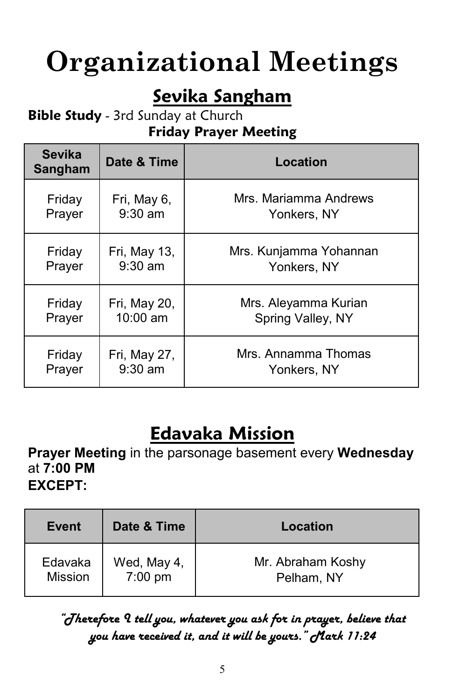# **Organizational Meetings**

#### **Sevika Sangham**

#### **Bible Study** - 3rd Sunday at Church

#### **Friday Prayer Meeting**

| <b>Sevika</b><br>Sangham | Date & Time  | Location               |
|--------------------------|--------------|------------------------|
| Friday                   | Fri, May 6,  | Mrs. Mariamma Andrews  |
| Prayer                   | $9:30$ am    | Yonkers, NY            |
| Friday                   | Fri, May 13, | Mrs. Kunjamma Yohannan |
| Prayer                   | $9:30$ am    | Yonkers, NY            |
| Friday                   | Fri, May 20, | Mrs. Aleyamma Kurian   |
| Prayer                   | 10:00 am     | Spring Valley, NY      |
| Friday                   | Fri, May 27, | Mrs. Annamma Thomas    |
| Prayer                   | $9:30$ am    | Yonkers, NY            |

#### **Edavaka Mission**

**Prayer Meeting** in the parsonage basement every **Wednesday** at **7:00 PM EXCEPT:** 

| Event          | Date & Time       | Location          |
|----------------|-------------------|-------------------|
| Edavaka        | Wed, May 4,       | Mr. Abraham Koshy |
| <b>Mission</b> | $7:00 \text{ pm}$ | Pelham, NY        |

#### *"Therefore I tell you, whatever you ask for in prayer, believe that you have received it, and it will be yours." Mark 11:24*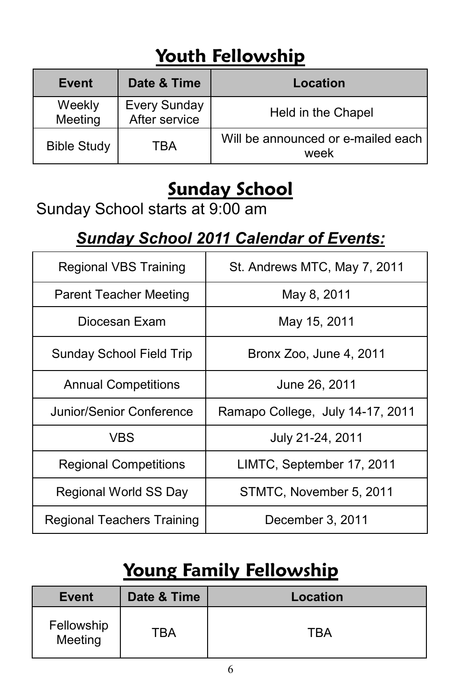# **Youth Fellowship**

| Event              | Date & Time                          | Location                                   |
|--------------------|--------------------------------------|--------------------------------------------|
| Weekly<br>Meeting  | <b>Every Sunday</b><br>After service | Held in the Chapel                         |
| <b>Bible Study</b> | TRA                                  | Will be announced or e-mailed each<br>week |

### **Sunday School**

Sunday School starts at 9:00 am

#### *Sunday School 2011 Calendar of Events:*

| <b>Regional VBS Training</b>      | St. Andrews MTC, May 7, 2011     |  |
|-----------------------------------|----------------------------------|--|
| <b>Parent Teacher Meeting</b>     | May 8, 2011                      |  |
| Diocesan Exam                     | May 15, 2011                     |  |
| <b>Sunday School Field Trip</b>   | Bronx Zoo, June 4, 2011          |  |
| <b>Annual Competitions</b>        | June 26, 2011                    |  |
| Junior/Senior Conference          | Ramapo College, July 14-17, 2011 |  |
| <b>VBS</b>                        | July 21-24, 2011                 |  |
| <b>Regional Competitions</b>      | LIMTC, September 17, 2011        |  |
| Regional World SS Day             | STMTC, November 5, 2011          |  |
| <b>Regional Teachers Training</b> | December 3, 2011                 |  |

# **Young Family Fellowship**

| <b>Event</b>          | Date & Time | Location |
|-----------------------|-------------|----------|
| Fellowship<br>Meeting | TBA         | TBA      |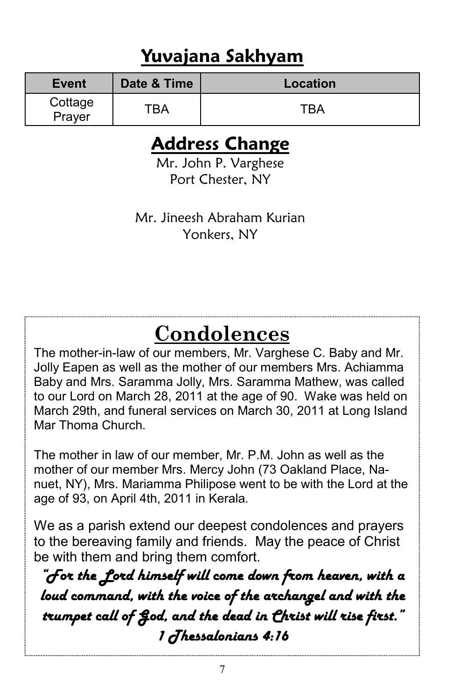#### **Yuvajana Sakhyam**

| Event             | Date & Time | Location |
|-------------------|-------------|----------|
| Cottage<br>Prayer | TBA         | TRA      |

#### **Address Change**

Mr. John P. Varghese Port Chester, NY

Mr. Jineesh Abraham Kurian Yonkers, NY

# **Condolences**

The mother-in-law of our members, Mr. Varghese C. Baby and Mr. Jolly Eapen as well as the mother of our members Mrs. Achiamma Baby and Mrs. Saramma Jolly, Mrs. Saramma Mathew, was called to our Lord on March 28, 2011 at the age of 90. Wake was held on March 29th, and funeral services on March 30, 2011 at Long Island Mar Thoma Church.

The mother in law of our member, Mr. P.M. John as well as the mother of our member Mrs. Mercy John (73 Oakland Place, Nanuet, NY), Mrs. Mariamma Philipose went to be with the Lord at the age of 93, on April 4th, 2011 in Kerala.

We as a parish extend our deepest condolences and prayers to the bereaving family and friends. May the peace of Christ be with them and bring them comfort.

*"For the Lord himself will come down from heaven, with a loud command, with the voice of the archangel and with the trumpet call of God, and the dead in Christ will rise first." 1 Thessalonians 4:16*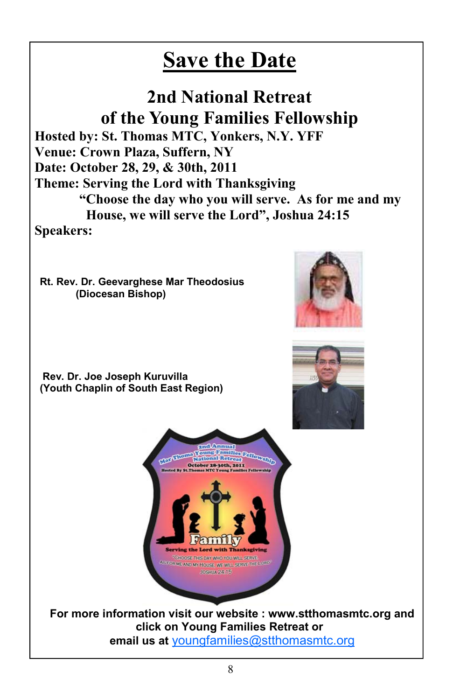# **Save the Date**

**2nd National Retreat of the Young Families Fellowship Hosted by: St. Thomas MTC, Yonkers, N.Y. YFF Venue: Crown Plaza, Suffern, NY Date: October 28, 29, & 30th, 2011 Theme: Serving the Lord with Thanksgiving "Choose the day who you will serve. As for me and my House, we will serve the Lord", Joshua 24:15 Speakers:** 

**Rt. Rev. Dr. Geevarghese Mar Theodosius (Diocesan Bishop)** 

 **Rev. Dr. Joe Joseph Kuruvilla (Youth Chaplin of South East Region)** 







**For more information visit our website : www.stthomasmtc.org and click on Young Families Retreat or email us at** youngfamilies@stthomasmtc.org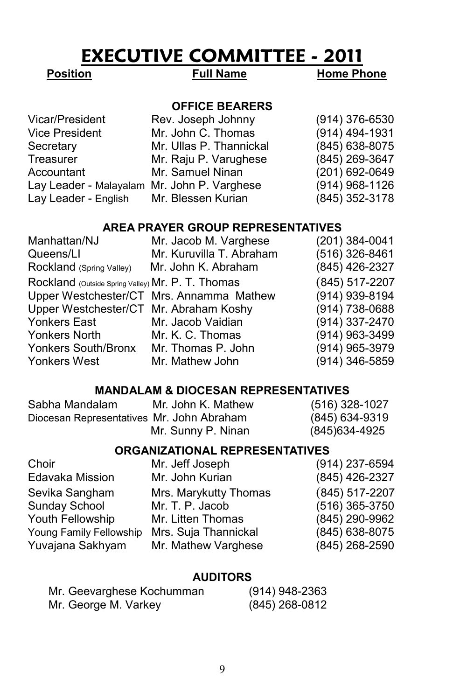#### **EXECUTIVE COMMITTEE - 2011**

**Position** Full Name Home Phone

#### **OFFICE BEARERS**

| Rev. Joseph Johnny                          | $(914)$ 376-6530 |
|---------------------------------------------|------------------|
| Mr. John C. Thomas                          | (914) 494-1931   |
| Mr. Ullas P. Thannickal                     | (845) 638-8075   |
| Mr. Raju P. Varughese                       | (845) 269-3647   |
| Mr. Samuel Ninan                            | (201) 692-0649   |
| Lay Leader - Malayalam Mr. John P. Varghese | $(914)$ 968-1126 |
| Lay Leader - English Mr. Blessen Kurian     | (845) 352-3178   |
|                                             |                  |

#### **AREA PRAYER GROUP REPRESENTATIVES**

| Manhattan/NJ                                      | Mr. Jacob M. Varghese                    | (201) 384-0041 |
|---------------------------------------------------|------------------------------------------|----------------|
| Queens/LI                                         | Mr. Kuruvilla T. Abraham                 | (516) 326-8461 |
| Rockland (Spring Valley)                          | Mr. John K. Abraham                      | (845) 426-2327 |
| Rockland (Outside Spring Valley) Mr. P. T. Thomas |                                          | (845) 517-2207 |
|                                                   | Upper Westchester/CT Mrs. Annamma Mathew | (914) 939-8194 |
| Upper Westchester/CT Mr. Abraham Koshy            |                                          | (914) 738-0688 |
| Yonkers East                                      | Mr. Jacob Vaidian                        | (914) 337-2470 |
| Yonkers North                                     | Mr. K. C. Thomas                         | (914) 963-3499 |
| Yonkers South/Bronx                               | Mr. Thomas P. John                       | (914) 965-3979 |
| Yonkers West                                      | Mr. Mathew John                          | (914) 346-5859 |

#### **MANDALAM & DIOCESAN REPRESENTATIVES**

| Sabha Mandalam                            | Mr. John K. Mathew | (516) 328-1027 |
|-------------------------------------------|--------------------|----------------|
| Diocesan Representatives Mr. John Abraham |                    | (845) 634-9319 |
|                                           | Mr. Sunny P. Ninan | (845)634-4925  |

#### **ORGANIZATIONAL REPRESENTATIVES**

| Mr. Jeff Joseph       | (914) 237-6594   |
|-----------------------|------------------|
| Mr. John Kurian       | (845) 426-2327   |
| Mrs. Marykutty Thomas | $(845)$ 517-2207 |
| Mr. T. P. Jacob       | (516) 365-3750   |
| Mr. Litten Thomas     | (845) 290-9962   |
| Mrs. Suja Thannickal  | (845) 638-8075   |
| Mr. Mathew Varghese   | (845) 268-2590   |
|                       |                  |

#### **AUDITORS**

| Mr. Geevarghese Kochumman | (914) 948-2363   |
|---------------------------|------------------|
| Mr. George M. Varkey      | $(845)$ 268-0812 |